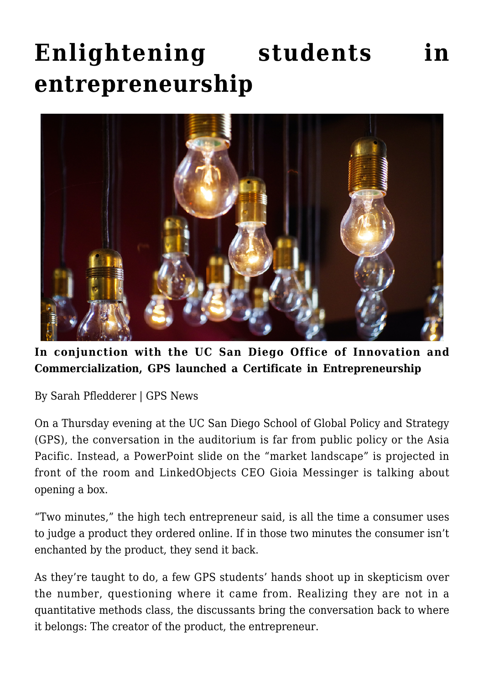## **[Enlightening students in](https://gpsnews.ucsd.edu/enlightening-students-in-entrepreneurship/) [entrepreneurship](https://gpsnews.ucsd.edu/enlightening-students-in-entrepreneurship/)**



**In conjunction with the UC San Diego Office of Innovation and Commercialization, GPS launched a Certificate in Entrepreneurship**

By Sarah Pfledderer | GPS News

On a Thursday evening at the UC San Diego School of Global Policy and Strategy (GPS), the conversation in the auditorium is far from public policy or the Asia Pacific. Instead, a PowerPoint slide on the "market landscape" is projected in front of the room and LinkedObjects CEO Gioia Messinger is talking about opening a box.

"Two minutes," the high tech entrepreneur said, is all the time a consumer uses to judge a product they ordered online. If in those two minutes the consumer isn't enchanted by the product, they send it back.

As they're taught to do, a few GPS students' hands shoot up in skepticism over the number, questioning where it came from. Realizing they are not in a quantitative methods class, the discussants bring the conversation back to where it belongs: The creator of the product, the entrepreneur.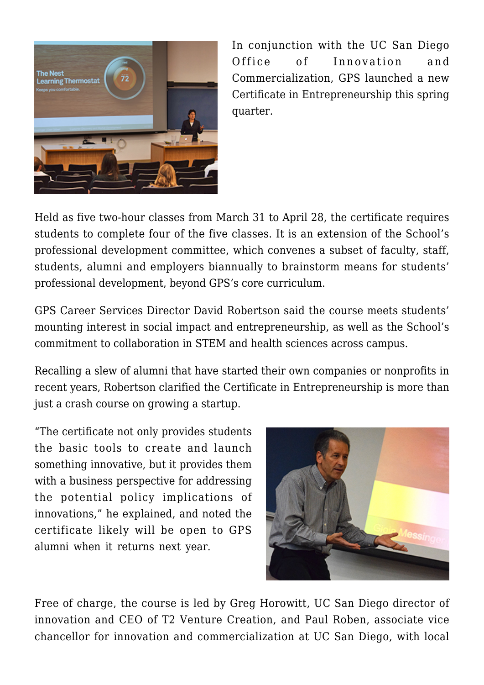

In conjunction with the UC San Diego Office of Innovation and Commercialization, GPS launched a new Certificate in Entrepreneurship this spring quarter.

Held as five two-hour classes from March 31 to April 28, the certificate requires students to complete four of the five classes. It is an extension of the School's professional development committee, which convenes a subset of faculty, staff, students, alumni and employers biannually to brainstorm means for students' professional development, beyond GPS's core curriculum.

GPS Career Services Director David Robertson said the course meets students' mounting interest in social impact and entrepreneurship, as well as the School's commitment to collaboration in STEM and health sciences across campus.

Recalling a slew of alumni that have started their own companies or nonprofits in recent years, Robertson clarified the Certificate in Entrepreneurship is more than just a crash course on growing a startup.

"The certificate not only provides students the basic tools to create and launch something innovative, but it provides them with a business perspective for addressing the potential policy implications of innovations," he explained, and noted the certificate likely will be open to GPS alumni when it returns next year.



Free of charge, the course is led by Greg Horowitt, UC San Diego director of innovation and CEO of T2 Venture Creation, and Paul Roben, associate vice chancellor for innovation and commercialization at UC San Diego, with local